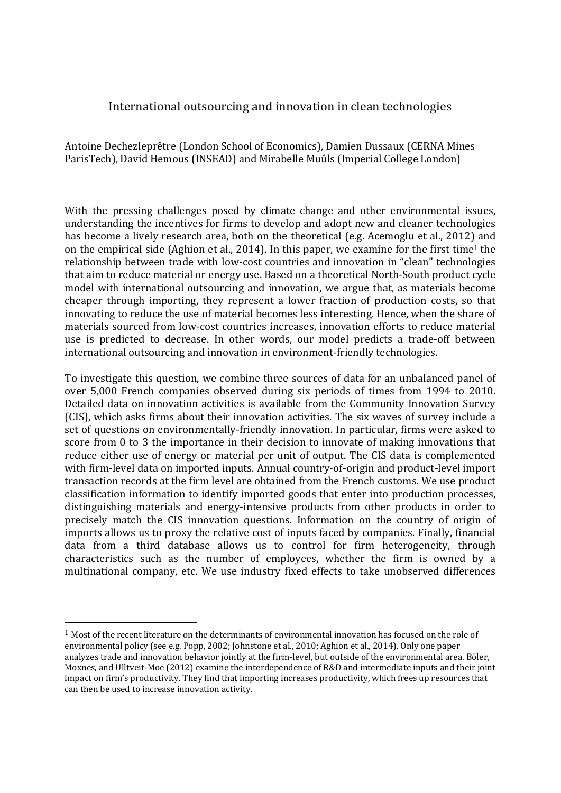## International outsourcing and innovation in clean technologies

Antoine Dechezleprêtre (London School of Economics), Damien Dussaux (CERNA Mines ParisTech), David Hemous (INSEAD) and Mirabelle Muûls (Imperial College London)

With the pressing challenges posed by climate change and other environmental issues, understanding the incentives for firms to develop and adopt new and cleaner technologies has become a lively research area, both on the theoretical (e.g. Acemoglu et al., 2012) and on the empirical side (Aghion et al., 2014). In this paper, we examine for the first time<sup>1</sup> the relationship between trade with low-cost countries and innovation in "clean" technologies that aim to reduce material or energy use. Based on a theoretical North-South product cycle model with international outsourcing and innovation, we argue that, as materials become cheaper through importing, they represent a lower fraction of production costs, so that innovating to reduce the use of material becomes less interesting. Hence, when the share of materials sourced from low-cost countries increases, innovation efforts to reduce material use is predicted to decrease. In other words, our model predicts a trade-off between international outsourcing and innovation in environment-friendly technologies.

To investigate this question, we combine three sources of data for an unbalanced panel of over 5,000 French companies observed during six periods of times from 1994 to 2010. Detailed data on innovation activities is available from the Community Innovation Survey (CIS), which asks firms about their innovation activities. The six waves of survey include a set of questions on environmentally-friendly innovation. In particular, firms were asked to score from 0 to 3 the importance in their decision to innovate of making innovations that reduce either use of energy or material per unit of output. The CIS data is complemented with firm-level data on imported inputs. Annual country-of-origin and product-level import transaction records at the firm level are obtained from the French customs. We use product classification information to identify imported goods that enter into production processes, distinguishing materials and energy-intensive products from other products in order to precisely match the CIS innovation questions. Information on the country of origin of imports allows us to proxy the relative cost of inputs faced by companies. Finally, financial data from a third database allows us to control for firm heterogeneity, through characteristics such as the number of employees, whether the firm is owned by a multinational company, etc. We use industry fixed effects to take unobserved differences

 

 $1$  Most of the recent literature on the determinants of environmental innovation has focused on the role of environmental policy (see e.g. Popp, 2002; Johnstone et al., 2010; Aghion et al., 2014). Only one paper analyzes trade and innovation behavior jointly at the firm-level, but outside of the environmental area. Böler, Moxnes, and Ulltveit-Moe (2012) examine the interdependence of R&D and intermediate inputs and their joint impact on firm's productivity. They find that importing increases productivity, which frees up resources that can then be used to increase innovation activity.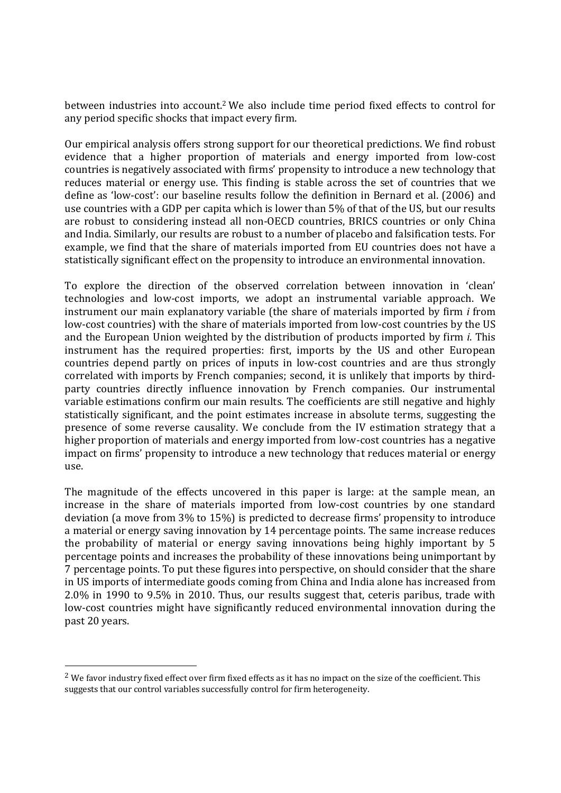between industries into account.<sup>2</sup> We also include time period fixed effects to control for any period specific shocks that impact every firm.

Our empirical analysis offers strong support for our theoretical predictions. We find robust evidence that a higher proportion of materials and energy imported from low-cost countries is negatively associated with firms' propensity to introduce a new technology that reduces material or energy use. This finding is stable across the set of countries that we define as 'low-cost': our baseline results follow the definition in Bernard et al. (2006) and use countries with a GDP per capita which is lower than 5% of that of the US, but our results are robust to considering instead all non-OECD countries, BRICS countries or only China and India. Similarly, our results are robust to a number of placebo and falsification tests. For example, we find that the share of materials imported from EU countries does not have a statistically significant effect on the propensity to introduce an environmental innovation.

To explore the direction of the observed correlation between innovation in 'clean' technologies and low-cost imports, we adopt an instrumental variable approach. We instrument our main explanatory variable (the share of materials imported by firm *i* from low-cost countries) with the share of materials imported from low-cost countries by the US and the European Union weighted by the distribution of products imported by firm *i*. This instrument has the required properties: first, imports by the US and other European countries depend partly on prices of inputs in low-cost countries and are thus strongly correlated with imports by French companies; second, it is unlikely that imports by thirdparty countries directly influence innovation by French companies. Our instrumental variable estimations confirm our main results. The coefficients are still negative and highly statistically significant, and the point estimates increase in absolute terms, suggesting the presence of some reverse causality. We conclude from the IV estimation strategy that a higher proportion of materials and energy imported from low-cost countries has a negative impact on firms' propensity to introduce a new technology that reduces material or energy use. 

The magnitude of the effects uncovered in this paper is large: at the sample mean, an increase in the share of materials imported from low-cost countries by one standard deviation (a move from  $3\%$  to  $15\%$ ) is predicted to decrease firms' propensity to introduce a material or energy saving innovation by 14 percentage points. The same increase reduces the probability of material or energy saving innovations being highly important by 5 percentage points and increases the probability of these innovations being unimportant by 7 percentage points. To put these figures into perspective, on should consider that the share in US imports of intermediate goods coming from China and India alone has increased from 2.0% in 1990 to 9.5% in 2010. Thus, our results suggest that, ceteris paribus, trade with low-cost countries might have significantly reduced environmental innovation during the past 20 years.

 

<sup>&</sup>lt;sup>2</sup> We favor industry fixed effect over firm fixed effects as it has no impact on the size of the coefficient. This suggests that our control variables successfully control for firm heterogeneity.